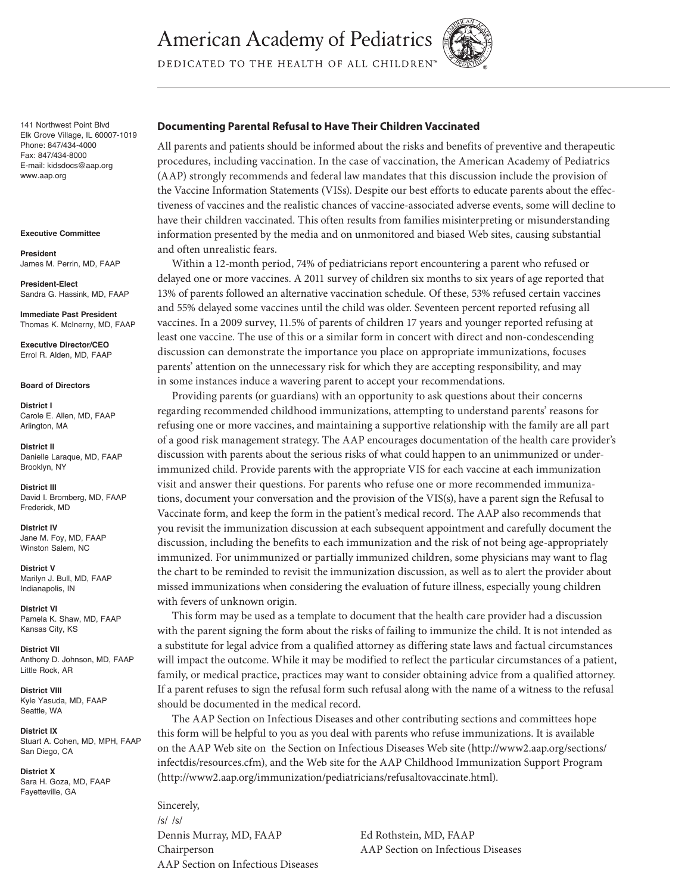**American Academy of Pediatrics** 



DEDICATED TO THE HEALTH OF ALL CHILDREN<sup>®</sup>

141 Northwest Point Blvd Elk Grove Village, IL 60007-1019 Phone: 847/434-4000 Fax: 847/434-8000 E-mail: kidsdocs@aap.org www.aap.org

**Executive Committee**

**President**  James M. Perrin, MD, FAAP

**President-Elect** Sandra G. Hassink, MD, FAAP

**Immediate Past President** Thomas K. McInerny, MD, FAAP

**Executive Director/CEO** Errol R. Alden, MD, FAAP

**Board of Directors**

**District I** Carole E. Allen, MD, FAAP Arlington, MA

**District II** Danielle Laraque, MD, FAAP Brooklyn, NY

**District III** David I. Bromberg, MD, FAAP Frederick, MD

**District IV**  Jane M. Foy, MD, FAAP Winston Salem, NC

**District V** Marilyn J. Bull, MD, FAAP Indianapolis, IN

**District VI** Pamela K. Shaw, MD, FAAP Kansas City, KS

**District VII** Anthony D. Johnson, MD, FAAP Little Rock, AR

**District VIII** Kyle Yasuda, MD, FAAP Seattle, WA

**District IX** Stuart A. Cohen, MD, MPH, FAAP San Diego, CA

**District X** Sara H. Goza, MD, FAAP Fayetteville, GA

#### **Documenting Parental Refusal to Have Their Children Vaccinated**

All parents and patients should be informed about the risks and benefits of preventive and therapeutic procedures, including vaccination. In the case of vaccination, the American Academy of Pediatrics (AAP) strongly recommends and federal law mandates that this discussion include the provision of the Vaccine Information Statements (VISs). Despite our best efforts to educate parents about the effectiveness of vaccines and the realistic chances of vaccine-associated adverse events, some will decline to have their children vaccinated. This often results from families misinterpreting or misunderstanding information presented by the media and on unmonitored and biased Web sites, causing substantial and often unrealistic fears.

Within a 12-month period, 74% of pediatricians report encountering a parent who refused or delayed one or more vaccines. A 2011 survey of children six months to six years of age reported that 13% of parents followed an alternative vaccination schedule. Of these, 53% refused certain vaccines and 55% delayed some vaccines until the child was older. Seventeen percent reported refusing all vaccines. In a 2009 survey, 11.5% of parents of children 17 years and younger reported refusing at least one vaccine. The use of this or a similar form in concert with direct and non-condescending discussion can demonstrate the importance you place on appropriate immunizations, focuses parents' attention on the unnecessary risk for which they are accepting responsibility, and may in some instances induce a wavering parent to accept your recommendations.

Providing parents (or guardians) with an opportunity to ask questions about their concerns regarding recommended childhood immunizations, attempting to understand parents' reasons for refusing one or more vaccines, and maintaining a supportive relationship with the family are all part of a good risk management strategy. The AAP encourages documentation of the health care provider's discussion with parents about the serious risks of what could happen to an unimmunized or underimmunized child. Provide parents with the appropriate VIS for each vaccine at each immunization visit and answer their questions. For parents who refuse one or more recommended immunizations, document your conversation and the provision of the VIS(s), have a parent sign the Refusal to Vaccinate form, and keep the form in the patient's medical record. The AAP also recommends that you revisit the immunization discussion at each subsequent appointment and carefully document the discussion, including the benefits to each immunization and the risk of not being age-appropriately immunized. For unimmunized or partially immunized children, some physicians may want to flag the chart to be reminded to revisit the immunization discussion, as well as to alert the provider about missed immunizations when considering the evaluation of future illness, especially young children with fevers of unknown origin.

This form may be used as a template to document that the health care provider had a discussion with the parent signing the form about the risks of failing to immunize the child. It is not intended as a substitute for legal advice from a qualified attorney as differing state laws and factual circumstances will impact the outcome. While it may be modified to reflect the particular circumstances of a patient, family, or medical practice, practices may want to consider obtaining advice from a qualified attorney. If a parent refuses to sign the refusal form such refusal along with the name of a witness to the refusal should be documented in the medical record.

The AAP Section on Infectious Diseases and other contributing sections and committees hope this form will be helpful to you as you deal with parents who refuse immunizations. It is available on the AAP Web site on the Section on Infectious Diseases Web site (http://www2.aap.org/sections/ infectdis/resources.cfm), and the Web site for the AAP Childhood Immunization Support Program (http://www2.aap.org/immunization/pediatricians/refusaltovaccinate.html).

Sincerely, /s/ /s/ Dennis Murray, MD, FAAP Ed Rothstein, MD, FAAP Chairperson AAP Section on Infectious Diseases AAP Section on Infectious Diseases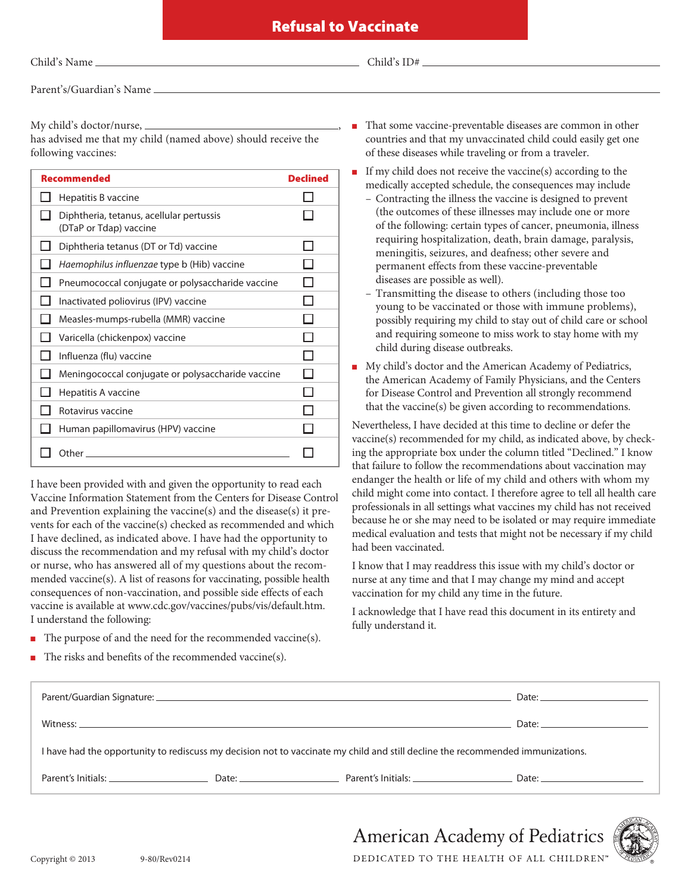Child's  $ID#$ 

Parent's/Guardian's Name

My child's doctor/nurse,  $\equiv$ 

has advised me that my child (named above) should receive the following vaccines:

| <b>Recommended</b>                                                 | <b>Declined</b> |
|--------------------------------------------------------------------|-----------------|
| Hepatitis B vaccine                                                |                 |
| Diphtheria, tetanus, acellular pertussis<br>(DTaP or Tdap) vaccine |                 |
| Diphtheria tetanus (DT or Td) vaccine                              |                 |
| Haemophilus influenzae type b (Hib) vaccine                        |                 |
| Pneumococcal conjugate or polysaccharide vaccine                   |                 |
| Inactivated poliovirus (IPV) vaccine                               |                 |
| Measles-mumps-rubella (MMR) vaccine                                |                 |
| Varicella (chickenpox) vaccine                                     |                 |
| Influenza (flu) vaccine                                            |                 |
| Meningococcal conjugate or polysaccharide vaccine                  |                 |
| Hepatitis A vaccine                                                |                 |
| Rotavirus vaccine                                                  |                 |
| Human papillomavirus (HPV) vaccine                                 |                 |
| Other                                                              |                 |

I have been provided with and given the opportunity to read each Vaccine Information Statement from the Centers for Disease Control and Prevention explaining the vaccine(s) and the disease(s) it prevents for each of the vaccine(s) checked as recommended and which I have declined, as indicated above. I have had the opportunity to discuss the recommendation and my refusal with my child's doctor or nurse, who has answered all of my questions about the recommended vaccine(s). A list of reasons for vaccinating, possible health consequences of non-vaccination, and possible side effects of each vaccine is available at www.cdc.gov/vaccines/pubs/vis/default.htm. I understand the following:

- $\blacksquare$  The purpose of and the need for the recommended vaccine(s).
- The risks and benefits of the recommended vaccine(s).
- <sup>n</sup> That some vaccine-preventable diseases are common in other countries and that my unvaccinated child could easily get one of these diseases while traveling or from a traveler.
- <sup>n</sup> If my child does not receive the vaccine(s) according to the medically accepted schedule, the consequences may include
	- Contracting the illness the vaccine is designed to prevent (the outcomes of these illnesses may include one or more of the following: certain types of cancer, pneumonia, illness requiring hospitalization, death, brain damage, paralysis, meningitis, seizures, and deafness; other severe and permanent effects from these vaccine-preventable diseases are possible as well).
	- Transmitting the disease to others (including those too young to be vaccinated or those with immune problems), possibly requiring my child to stay out of child care or school and requiring someone to miss work to stay home with my child during disease outbreaks.
- <sup>n</sup> My child's doctor and the American Academy of Pediatrics, the American Academy of Family Physicians, and the Centers for Disease Control and Prevention all strongly recommend that the vaccine(s) be given according to recommendations.

Nevertheless, I have decided at this time to decline or defer the vaccine(s) recommended for my child, as indicated above, by checking the appropriate box under the column titled "Declined." I know that failure to follow the recommendations about vaccination may endanger the health or life of my child and others with whom my child might come into contact. I therefore agree to tell all health care professionals in all settings what vaccines my child has not received because he or she may need to be isolated or may require immediate medical evaluation and tests that might not be necessary if my child had been vaccinated.

I know that I may readdress this issue with my child's doctor or nurse at any time and that I may change my mind and accept vaccination for my child any time in the future.

I acknowledge that I have read this document in its entirety and fully understand it.

| Date: $\qquad \qquad$<br>I have had the opportunity to rediscuss my decision not to vaccinate my child and still decline the recommended immunizations.                                                                                                          |  | Date: <u>Date: Explorer</u> |
|------------------------------------------------------------------------------------------------------------------------------------------------------------------------------------------------------------------------------------------------------------------|--|-----------------------------|
|                                                                                                                                                                                                                                                                  |  |                             |
|                                                                                                                                                                                                                                                                  |  |                             |
| Date: 2008 Contractor Contractor Parent's Initials: 2008 Contractor Contractor Contractor Contractor Contractor<br>Parent's Initials: North and Contact the Contact of the Contact of Tennis and Contact of the Contact of Tennis<br>Date: <u>Date: Explorer</u> |  |                             |



**American Academy of Pediatrics** DEDICATED TO THE HEALTH OF ALL CHILDREN"